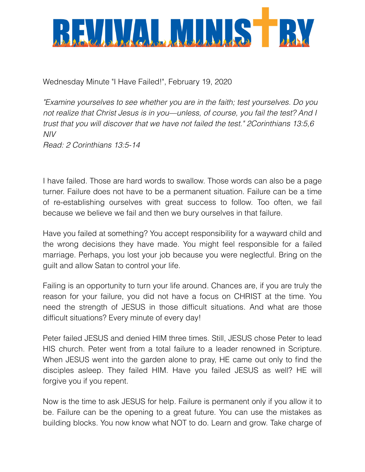

Wednesday Minute "I Have Failed!", February 19, 2020

*"Examine yourselves to see whether you are in the faith; test yourselves. Do you not realize that Christ Jesus is in you—unless, of course, you fail the test? And I trust that you will discover that we have not failed the test." 2Corinthians 13:5,6 NIV Read: 2 Corinthians 13:5-14*

I have failed. Those are hard words to swallow. Those words can also be a page turner. Failure does not have to be a permanent situation. Failure can be a time of re-establishing ourselves with great success to follow. Too often, we fail because we believe we fail and then we bury ourselves in that failure.

Have you failed at something? You accept responsibility for a wayward child and the wrong decisions they have made. You might feel responsible for a failed marriage. Perhaps, you lost your job because you were neglectful. Bring on the guilt and allow Satan to control your life.

Failing is an opportunity to turn your life around. Chances are, if you are truly the reason for your failure, you did not have a focus on CHRIST at the time. You need the strength of JESUS in those difficult situations. And what are those difficult situations? Every minute of every day!

Peter failed JESUS and denied HIM three times. Still, JESUS chose Peter to lead HIS church. Peter went from a total failure to a leader renowned in Scripture. When JESUS went into the garden alone to pray, HE came out only to find the disciples asleep. They failed HIM. Have you failed JESUS as well? HE will forgive you if you repent.

Now is the time to ask JESUS for help. Failure is permanent only if you allow it to be. Failure can be the opening to a great future. You can use the mistakes as building blocks. You now know what NOT to do. Learn and grow. Take charge of